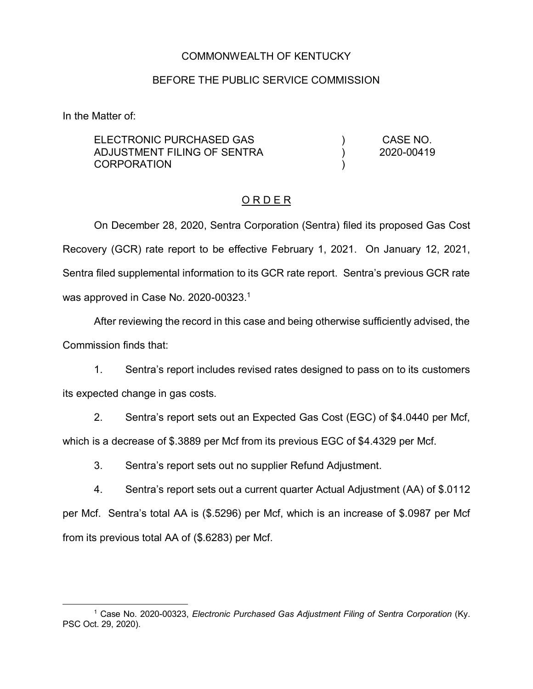### COMMONWEALTH OF KENTUCKY

#### BEFORE THE PUBLIC SERVICE COMMISSION

In the Matter of:

ELECTRONIC PURCHASED GAS ADJUSTMENT FILING OF SENTRA **CORPORATION** ) )  $\lambda$ CASE NO. 2020-00419

# O R D E R

On December 28, 2020, Sentra Corporation (Sentra) filed its proposed Gas Cost Recovery (GCR) rate report to be effective February 1, 2021. On January 12, 2021, Sentra filed supplemental information to its GCR rate report. Sentra's previous GCR rate was approved in Case No. 2020-00323.<sup>1</sup>

After reviewing the record in this case and being otherwise sufficiently advised, the Commission finds that:

1. Sentra's report includes revised rates designed to pass on to its customers its expected change in gas costs.

2. Sentra's report sets out an Expected Gas Cost (EGC) of \$4.0440 per Mcf, which is a decrease of \$.3889 per Mcf from its previous EGC of \$4.4329 per Mcf.

3. Sentra's report sets out no supplier Refund Adjustment.

4. Sentra's report sets out a current quarter Actual Adjustment (AA) of \$.0112 per Mcf. Sentra's total AA is (\$.5296) per Mcf, which is an increase of \$.0987 per Mcf from its previous total AA of (\$.6283) per Mcf.

 <sup>1</sup> Case No. 2020-00323, *Electronic Purchased Gas Adjustment Filing of Sentra Corporation* (Ky. PSC Oct. 29, 2020).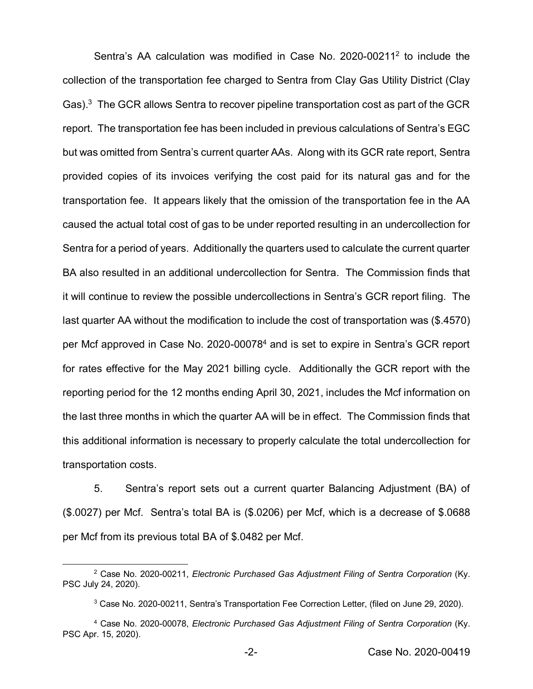Sentra's AA calculation was modified in Case No. 2020-00211<sup>2</sup> to include the collection of the transportation fee charged to Sentra from Clay Gas Utility District (Clay Gas).<sup>3</sup> The GCR allows Sentra to recover pipeline transportation cost as part of the GCR report. The transportation fee has been included in previous calculations of Sentra's EGC but was omitted from Sentra's current quarter AAs. Along with its GCR rate report, Sentra provided copies of its invoices verifying the cost paid for its natural gas and for the transportation fee. It appears likely that the omission of the transportation fee in the AA caused the actual total cost of gas to be under reported resulting in an undercollection for Sentra for a period of years. Additionally the quarters used to calculate the current quarter BA also resulted in an additional undercollection for Sentra. The Commission finds that it will continue to review the possible undercollections in Sentra's GCR report filing. The last quarter AA without the modification to include the cost of transportation was (\$.4570) per Mcf approved in Case No. 2020-000784 and is set to expire in Sentra's GCR report for rates effective for the May 2021 billing cycle. Additionally the GCR report with the reporting period for the 12 months ending April 30, 2021, includes the Mcf information on the last three months in which the quarter AA will be in effect. The Commission finds that this additional information is necessary to properly calculate the total undercollection for transportation costs.

5. Sentra's report sets out a current quarter Balancing Adjustment (BA) of (\$.0027) per Mcf. Sentra's total BA is (\$.0206) per Mcf, which is a decrease of \$.0688 per Mcf from its previous total BA of \$.0482 per Mcf.

 <sup>2</sup> Case No. 2020-00211, *Electronic Purchased Gas Adjustment Filing of Sentra Corporation* (Ky. PSC July 24, 2020).

<sup>3</sup> Case No. 2020-00211, Sentra's Transportation Fee Correction Letter, (filed on June 29, 2020).

<sup>4</sup> Case No. 2020-00078, *Electronic Purchased Gas Adjustment Filing of Sentra Corporation* (Ky. PSC Apr. 15, 2020).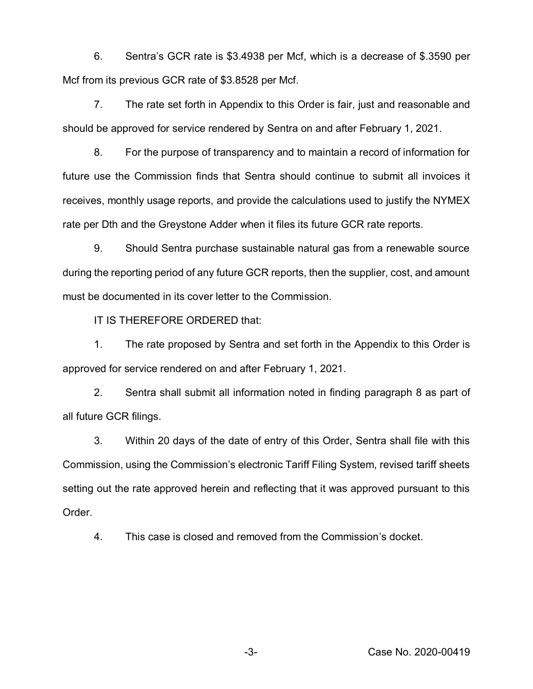6. Sentra's GCR rate is \$3.4938 per Mcf, which is a decrease of \$.3590 per Mcf from its previous GCR rate of \$3.8528 per Mcf.

7. The rate set forth in Appendix to this Order is fair, just and reasonable and should be approved for service rendered by Sentra on and after February 1, 2021.

8. For the purpose of transparency and to maintain a record of information for future use the Commission finds that Sentra should continue to submit all invoices it receives, monthly usage reports, and provide the calculations used to justify the NYMEX rate per Dth and the Greystone Adder when it files its future GCR rate reports.

9. Should Sentra purchase sustainable natural gas from a renewable source during the reporting period of any future GCR reports, then the supplier, cost, and amount must be documented in its cover letter to the Commission.

IT IS THEREFORE ORDERED that:

1. The rate proposed by Sentra and set forth in the Appendix to this Order is approved for service rendered on and after February 1, 2021.

2. Sentra shall submit all information noted in finding paragraph 8 as part of all future GCR filings.

3. Within 20 days of the date of entry of this Order, Sentra shall file with this Commission, using the Commission's electronic Tariff Filing System, revised tariff sheets setting out the rate approved herein and reflecting that it was approved pursuant to this Order.

4. This case is closed and removed from the Commission's docket.

-3- Case No. 2020-00419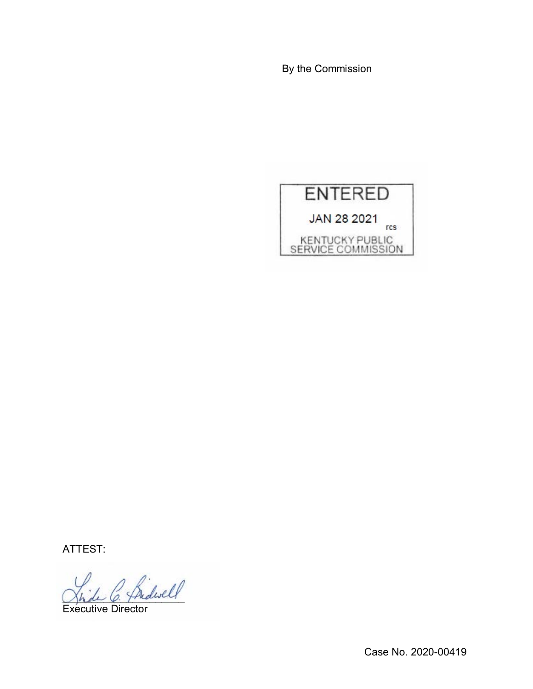By the Commission



ATTEST:

\_\_\_\_\_\_\_\_\_\_\_\_\_\_\_\_\_\_\_\_\_

Executive Director

Case No. 2020-00419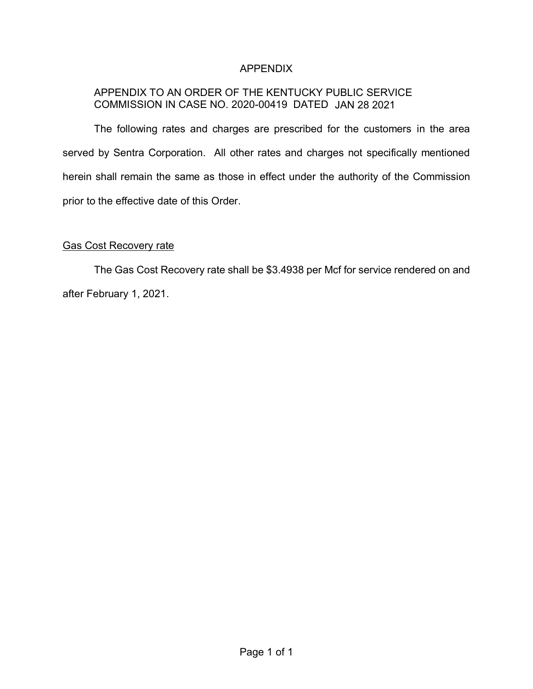## APPENDIX

# APPENDIX TO AN ORDER OF THE KENTUCKY PUBLIC SERVICE COMMISSION IN CASE NO. 2020-00419 DATED JAN 28 2021

The following rates and charges are prescribed for the customers in the area served by Sentra Corporation. All other rates and charges not specifically mentioned herein shall remain the same as those in effect under the authority of the Commission prior to the effective date of this Order.

# Gas Cost Recovery rate

The Gas Cost Recovery rate shall be \$3.4938 per Mcf for service rendered on and after February 1, 2021.